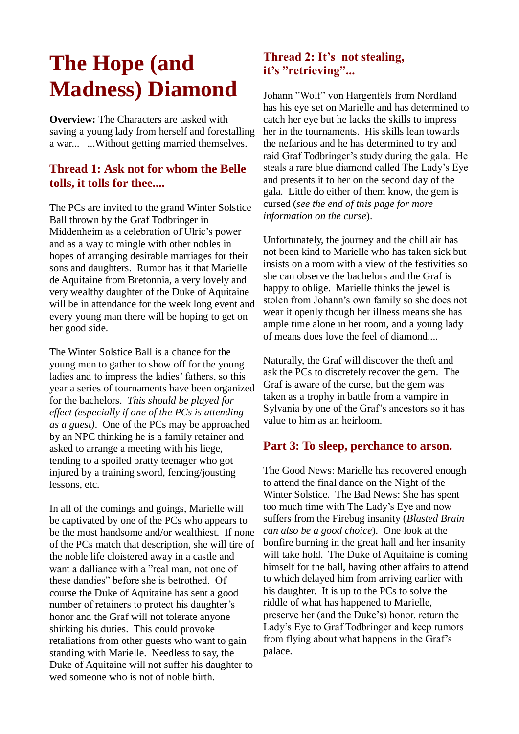# **The Hope (and Madness) Diamond**

**Overview:** The Characters are tasked with saving a young lady from herself and forestalling a war... ...Without getting married themselves.

## **Thread 1: Ask not for whom the Belle tolls, it tolls for thee....**

The PCs are invited to the grand Winter Solstice Ball thrown by the Graf Todbringer in Middenheim as a celebration of Ulric's power and as a way to mingle with other nobles in hopes of arranging desirable marriages for their sons and daughters. Rumor has it that Marielle de Aquitaine from Bretonnia, a very lovely and very wealthy daughter of the Duke of Aquitaine will be in attendance for the week long event and every young man there will be hoping to get on her good side.

The Winter Solstice Ball is a chance for the young men to gather to show off for the young ladies and to impress the ladies' fathers, so this year a series of tournaments have been organized for the bachelors. *This should be played for effect (especially if one of the PCs is attending as a guest)*. One of the PCs may be approached by an NPC thinking he is a family retainer and asked to arrange a meeting with his liege, tending to a spoiled bratty teenager who got injured by a training sword, fencing/jousting lessons, etc.

In all of the comings and goings, Marielle will be captivated by one of the PCs who appears to be the most handsome and/or wealthiest. If none of the PCs match that description, she will tire of the noble life cloistered away in a castle and want a dalliance with a "real man, not one of these dandies" before she is betrothed. Of course the Duke of Aquitaine has sent a good number of retainers to protect his daughter's honor and the Graf will not tolerate anyone shirking his duties. This could provoke retaliations from other guests who want to gain standing with Marielle. Needless to say, the Duke of Aquitaine will not suffer his daughter to wed someone who is not of noble birth.

# **Thread 2: It's not stealing, it's "retrieving"...**

Johann "Wolf" von Hargenfels from Nordland has his eye set on Marielle and has determined to catch her eye but he lacks the skills to impress her in the tournaments. His skills lean towards the nefarious and he has determined to try and raid Graf Todbringer's study during the gala. He steals a rare blue diamond called The Lady's Eye and presents it to her on the second day of the gala. Little do either of them know, the gem is cursed (*see the end of this page for more information on the curse*).

Unfortunately, the journey and the chill air has not been kind to Marielle who has taken sick but insists on a room with a view of the festivities so she can observe the bachelors and the Graf is happy to oblige. Marielle thinks the jewel is stolen from Johann's own family so she does not wear it openly though her illness means she has ample time alone in her room, and a young lady of means does love the feel of diamond....

Naturally, the Graf will discover the theft and ask the PCs to discretely recover the gem. The Graf is aware of the curse, but the gem was taken as a trophy in battle from a vampire in Sylvania by one of the Graf's ancestors so it has value to him as an heirloom.

#### **Part 3: To sleep, perchance to arson.**

The Good News: Marielle has recovered enough to attend the final dance on the Night of the Winter Solstice. The Bad News: She has spent too much time with The Lady's Eye and now suffers from the Firebug insanity (*Blasted Brain can also be a good choice*). One look at the bonfire burning in the great hall and her insanity will take hold. The Duke of Aquitaine is coming himself for the ball, having other affairs to attend to which delayed him from arriving earlier with his daughter. It is up to the PCs to solve the riddle of what has happened to Marielle, preserve her (and the Duke's) honor, return the Lady's Eye to Graf Todbringer and keep rumors from flying about what happens in the Graf's palace.